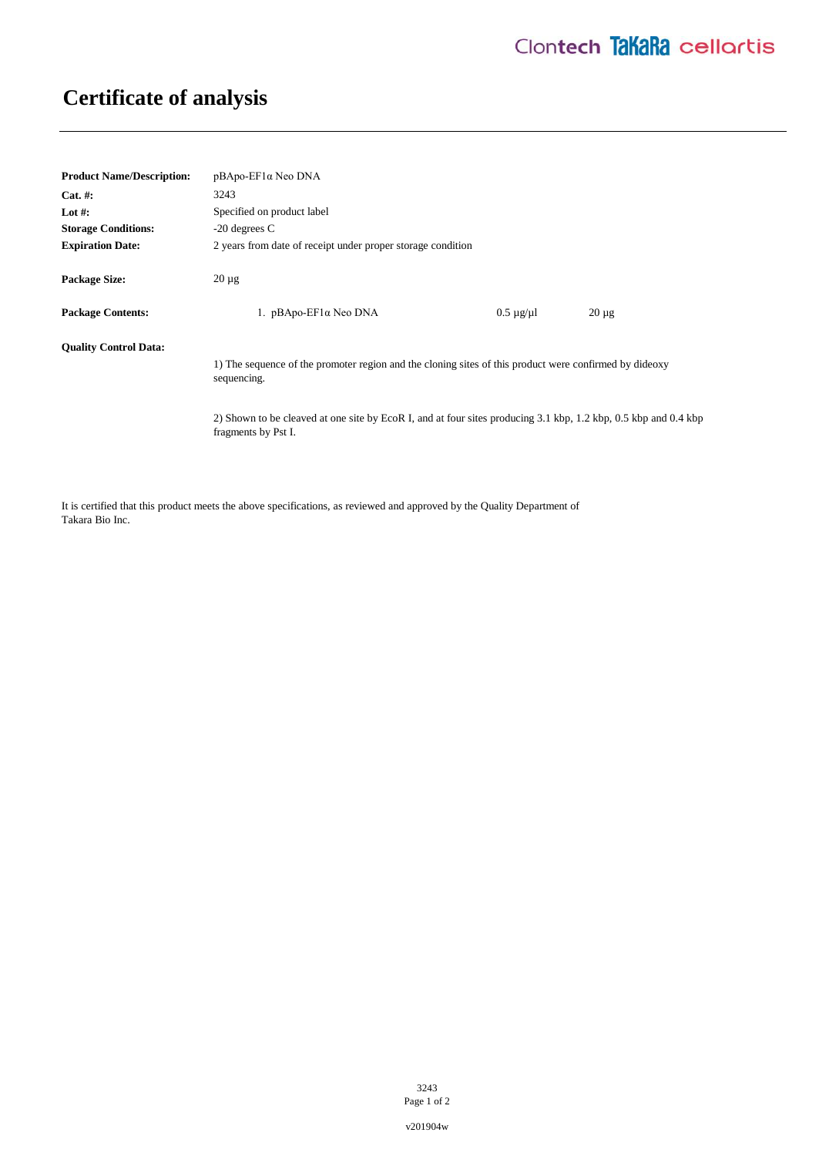## **Certificate of analysis**

| <b>Product Name/Description:</b> | pBApo-EF1α Neo DNA                                                                                                                     |                      |            |
|----------------------------------|----------------------------------------------------------------------------------------------------------------------------------------|----------------------|------------|
| $Cat. \#:$                       | 3243                                                                                                                                   |                      |            |
| Lot #:                           | Specified on product label                                                                                                             |                      |            |
| <b>Storage Conditions:</b>       | $-20$ degrees C                                                                                                                        |                      |            |
| <b>Expiration Date:</b>          | 2 years from date of receipt under proper storage condition                                                                            |                      |            |
| <b>Package Size:</b>             | $20 \mu$ g                                                                                                                             |                      |            |
| <b>Package Contents:</b>         | 1. pBApo-EF1α Neo DNA                                                                                                                  | $0.5 \mu$ g/ $\mu$ l | $20 \mu g$ |
| <b>Ouality Control Data:</b>     | 1) The sequence of the promoter region and the cloning sites of this product were confirmed by dideoxy<br>sequencing.                  |                      |            |
|                                  | 2) Shown to be cleaved at one site by EcoR I, and at four sites producing 3.1 kbp, 1.2 kbp, 0.5 kbp and 0.4 kbp<br>fragments by Pst I. |                      |            |

It is certified that this product meets the above specifications, as reviewed and approved by the Quality Department of Takara Bio Inc.

> 3243 Page 1 of 2

v201904w